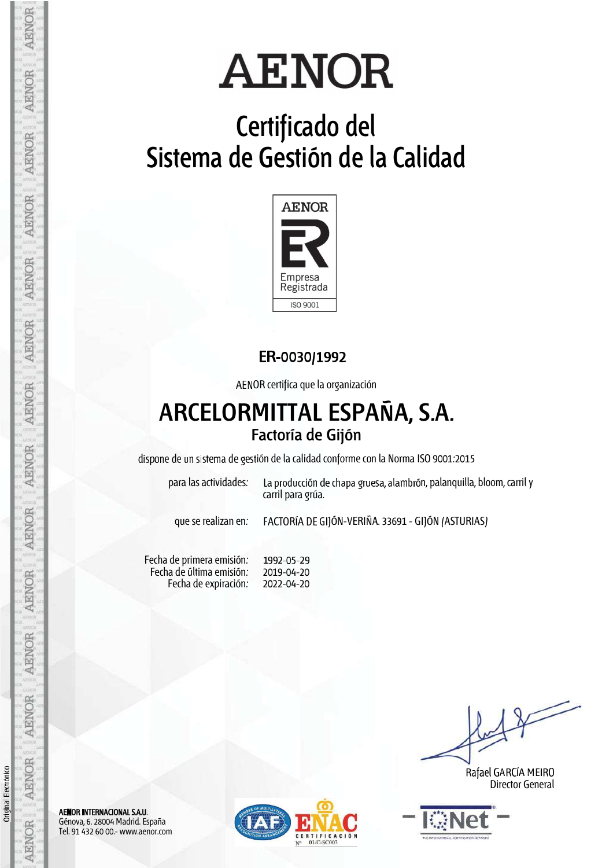# **Certificado del Sistema de Gestión de la Calidad**



### ER-0030/1992

AENOR certifica que la organización

## **ARCELORMITTAL ESPAÑA, S.A. Factoría de Gijón**

dispone de un sistema de gestión de la calidad conforme con la Norma ISO 9001:2015

para las actividades: La producción de chapa gruesa, alambrón, palanquilla, bloom, carril y carril para grúa.

que se realizan en: FACTORÍA DE GIJÓN-VERIÑA. 33691 - GIJÓN (ASTURIAS)

Fecha de primera emisión: Fecha de última emisión: Fecha de expiración: 1992-05-29 2019-04-20 2022-04-20

Rafael GARCÍA MEIRO Director General



AENOR INTERNACIONAL S.A.U. Génova, 6. 28004 Madrid. España Tel. 91 432 60 00.- www.aenor.com



Orig

inal Electró